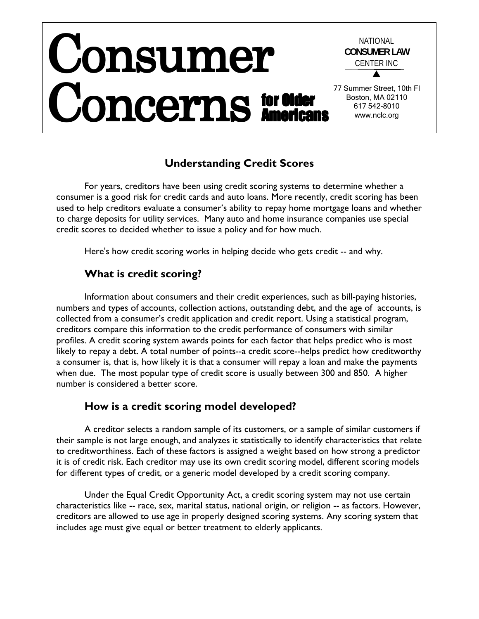#### Consumer Concerns NATIONAL **CONSUMER LAW** CENTER INC  $\blacktriangle$ 77 Summer Street, 10th Fl Boston, MA 02110 617 542-8010 www.nclc.org for Older **Americans**

# **Understanding Credit Scores**

For years, creditors have been using credit scoring systems to determine whether a consumer is a good risk for credit cards and auto loans. More recently, credit scoring has been used to help creditors evaluate a consumer's ability to repay home mortgage loans and whether to charge deposits for utility services. Many auto and home insurance companies use special credit scores to decided whether to issue a policy and for how much.

Here's how credit scoring works in helping decide who gets credit -- and why.

# **What is credit scoring?**

Information about consumers and their credit experiences, such as bill-paying histories, numbers and types of accounts, collection actions, outstanding debt, and the age of accounts, is collected from a consumer's credit application and credit report. Using a statistical program, creditors compare this information to the credit performance of consumers with similar profiles. A credit scoring system awards points for each factor that helps predict who is most likely to repay a debt. A total number of points--a credit score--helps predict how creditworthy a consumer is, that is, how likely it is that a consumer will repay a loan and make the payments when due. The most popular type of credit score is usually between 300 and 850. A higher number is considered a better score.

## **How is a credit scoring model developed?**

A creditor selects a random sample of its customers, or a sample of similar customers if their sample is not large enough, and analyzes it statistically to identify characteristics that relate to creditworthiness. Each of these factors is assigned a weight based on how strong a predictor it is of credit risk. Each creditor may use its own credit scoring model, different scoring models for different types of credit, or a generic model developed by a credit scoring company.

Under the Equal Credit Opportunity Act, a credit scoring system may not use certain characteristics like -- race, sex, marital status, national origin, or religion -- as factors. However, creditors are allowed to use age in properly designed scoring systems. Any scoring system that includes age must give equal or better treatment to elderly applicants.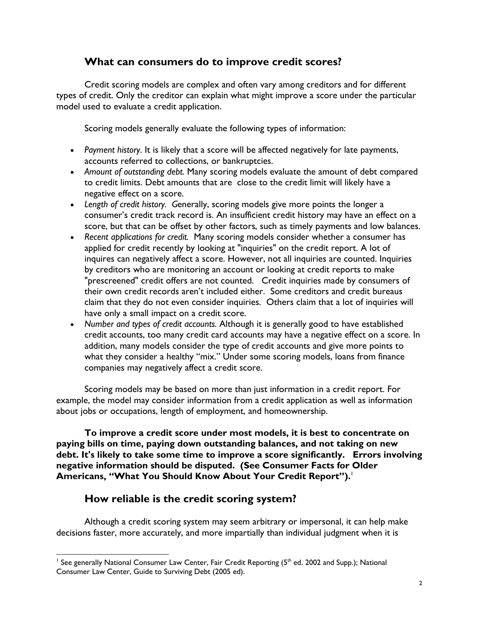## **What can consumers do to improve credit scores?**

Credit scoring models are complex and often vary among creditors and for different types of credit. Only the creditor can explain what might improve a score under the particular model used to evaluate a credit application.

Scoring models generally evaluate the following types of information:

- *Payment history*. It is likely that a score will be affected negatively for late payments, accounts referred to collections, or bankruptcies.
- *Amount of outstanding debt.* Many scoring models evaluate the amount of debt compared to credit limits. Debt amounts that are close to the credit limit will likely have a negative effect on a score.
- *Length of credit history. G*enerally, scoring models give more points the longer a consumer's credit track record is. An insufficient credit history may have an effect on a score, but that can be offset by other factors, such as timely payments and low balances.
- *Recent applications for credit.* Many scoring models consider whether a consumer has applied for credit recently by looking at "inquiries" on the credit report. A lot of inquires can negatively affect a score. However, not all inquiries are counted. Inquiries by creditors who are monitoring an account or looking at credit reports to make "prescreened" credit offers are not counted. Credit inquiries made by consumers of their own credit records aren't included either. Some creditors and credit bureaus claim that they do not even consider inquiries. Others claim that a lot of inquiries will have only a small impact on a credit score.
- *Number and types of credit accounts.* Although it is generally good to have established credit accounts, too many credit card accounts may have a negative effect on a score. In addition, many models consider the type of credit accounts and give more points to what they consider a healthy "mix." Under some scoring models, loans from finance companies may negatively affect a credit score.

Scoring models may be based on more than just information in a credit report. For example, the model may consider information from a credit application as well as information about jobs or occupations, length of employment, and homeownership.

**To improve a credit score under most models, it is best to concentrate on paying bills on time, paying down outstanding balances, and not taking on new debt. It's likely to take some time to improve a score significantly. Errors involving negative information should be disputed. (See Consumer Facts for Older Americans, "What You Should Know About Your Credit Report").**[1](#page-1-0)

# **How reliable is the credit scoring system?**

Although a credit scoring system may seem arbitrary or impersonal, it can help make decisions faster, more accurately, and more impartially than individual judgment when it is

<span id="page-1-0"></span> $\overline{a}$  $^{\text{\tiny{\textsf{I}}}}$  See generally National Consumer Law Center, Fair Credit Reporting (5<sup>th</sup> ed. 2002 and Supp.); National Consumer Law Center, Guide to Surviving Debt (2005 ed).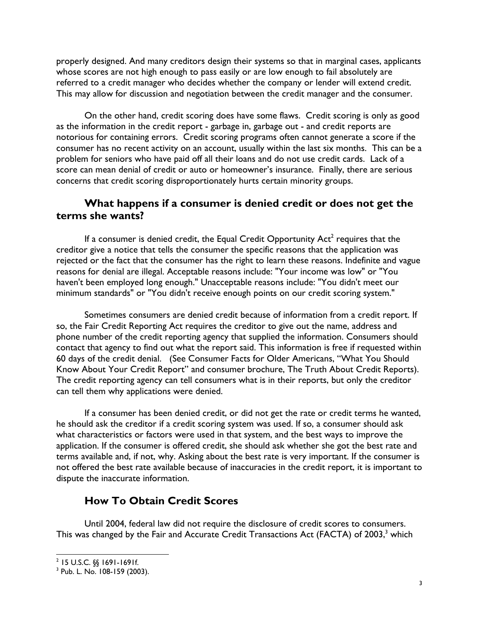properly designed. And many creditors design their systems so that in marginal cases, applicants whose scores are not high enough to pass easily or are low enough to fail absolutely are referred to a credit manager who decides whether the company or lender will extend credit. This may allow for discussion and negotiation between the credit manager and the consumer.

On the other hand, credit scoring does have some flaws. Credit scoring is only as good as the information in the credit report - garbage in, garbage out - and credit reports are notorious for containing errors. Credit scoring programs often cannot generate a score if the consumer has no recent activity on an account, usually within the last six months. This can be a problem for seniors who have paid off all their loans and do not use credit cards. Lack of a score can mean denial of credit or auto or homeowner's insurance. Finally, there are serious concerns that credit scoring disproportionately hurts certain minority groups.

### **What happens if a consumer is denied credit or does not get the terms she wants?**

If a consumer is denied credit, the Equal Credit Opportunity  $Act<sup>2</sup>$  requires that the creditor give a notice that tells the consumer the specific reasons that the application was rejected or the fact that the consumer has the right to learn these reasons. Indefinite and vague reasons for denial are illegal. Acceptable reasons include: "Your income was low" or "You haven't been employed long enough." Unacceptable reasons include: "You didn't meet our minimum standards" or "You didn't receive enough points on our credit scoring system."

Sometimes consumers are denied credit because of information from a credit report. If so, the Fair Credit Reporting Act requires the creditor to give out the name, address and phone number of the credit reporting agency that supplied the information. Consumers should contact that agency to find out what the report said. This information is free if requested within 60 days of the credit denial. (See Consumer Facts for Older Americans, "What You Should Know About Your Credit Report" and consumer brochure, The Truth About Credit Reports). The credit reporting agency can tell consumers what is in their reports, but only the creditor can tell them why applications were denied.

If a consumer has been denied credit, or did not get the rate or credit terms he wanted, he should ask the creditor if a credit scoring system was used. If so, a consumer should ask what characteristics or factors were used in that system, and the best ways to improve the application. If the consumer is offered credit, she should ask whether she got the best rate and terms available and, if not, why. Asking about the best rate is very important. If the consumer is not offered the best rate available because of inaccuracies in the credit report, it is important to dispute the inaccurate information.

## **How To Obtain Credit Scores**

Until 2004, federal law did not require the disclosure of credit scores to consumers. This was changed by the Fair and Accurate Credit Transactions Act (FACTA) of 200[3](#page-2-1),<sup>3</sup> which

<span id="page-2-0"></span><sup>1</sup>  $2$  15 U.S.C. §§ 1691-1691f.

<span id="page-2-1"></span><sup>3</sup> Pub. L. No. 108-159 (2003).